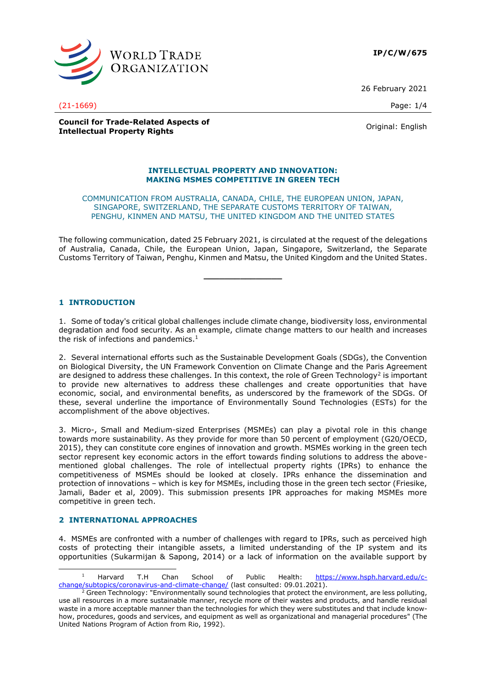

26 February 2021

**Council for Trade-Related Aspects of Intellectual Property Rights Council Council Council Council Council** Criginal: English

#### **INTELLECTUAL PROPERTY AND INNOVATION: MAKING MSMES COMPETITIVE IN GREEN TECH**

#### COMMUNICATION FROM AUSTRALIA, CANADA, CHILE, THE EUROPEAN UNION, JAPAN, SINGAPORE, SWITZERLAND, THE SEPARATE CUSTOMS TERRITORY OF TAIWAN, PENGHU, KINMEN AND MATSU, THE UNITED KINGDOM AND THE UNITED STATES

The following communication, dated 25 February 2021, is circulated at the request of the delegations of Australia, Canada, Chile, the European Union, Japan, Singapore, Switzerland, the Separate Customs Territory of Taiwan, Penghu, Kinmen and Matsu, the United Kingdom and the United States.

**\_\_\_\_\_\_\_\_\_\_\_\_\_\_\_**

# **1 INTRODUCTION**

1. Some of today's critical global challenges include climate change, biodiversity loss, environmental degradation and food security. As an example, climate change matters to our health and increases the risk of infections and pandemics. $1$ 

2. Several international efforts such as the Sustainable Development Goals (SDGs), the Convention on Biological Diversity, the UN Framework Convention on Climate Change and the Paris Agreement are designed to address these challenges. In this context, the role of Green Technology<sup>2</sup> is important to provide new alternatives to address these challenges and create opportunities that have economic, social, and environmental benefits, as underscored by the framework of the SDGs. Of these, several underline the importance of Environmentally Sound Technologies (ESTs) for the accomplishment of the above objectives.

3. Micro-, Small and Medium-sized Enterprises (MSMEs) can play a pivotal role in this change towards more sustainability. As they provide for more than 50 percent of employment (G20/OECD, 2015), they can constitute core engines of innovation and growth. MSMEs working in the green tech sector represent key economic actors in the effort towards finding solutions to address the abovementioned global challenges. The role of intellectual property rights (IPRs) to enhance the competitiveness of MSMEs should be looked at closely. IPRs enhance the dissemination and protection of innovations – which is key for MSMEs, including those in the green tech sector (Friesike, Jamali, Bader et al, 2009). This submission presents IPR approaches for making MSMEs more competitive in green tech.

## **2 INTERNATIONAL APPROACHES**

4. MSMEs are confronted with a number of challenges with regard to IPRs, such as perceived high costs of protecting their intangible assets, a limited understanding of the IP system and its opportunities (Sukarmijan & Sapong, 2014) or a lack of information on the available support by

(21-1669) Page: 1/4

<sup>1</sup> Harvard T.H Chan School of Public Health: [https://www.hsph.harvard.edu/c](https://www.hsph.harvard.edu/c-change/subtopics/coronavirus-and-climate-change/)[change/subtopics/coronavirus-and-climate-change/](https://www.hsph.harvard.edu/c-change/subtopics/coronavirus-and-climate-change/) (last consulted: 09.01.2021).

 $2$  Green Technology: "Environmentally sound technologies that protect the environment, are less polluting, use all resources in a more sustainable manner, recycle more of their wastes and products, and handle residual waste in a more acceptable manner than the technologies for which they were substitutes and that include knowhow, procedures, goods and services, and equipment as well as organizational and managerial procedures" (The United Nations Program of Action from Rio, 1992).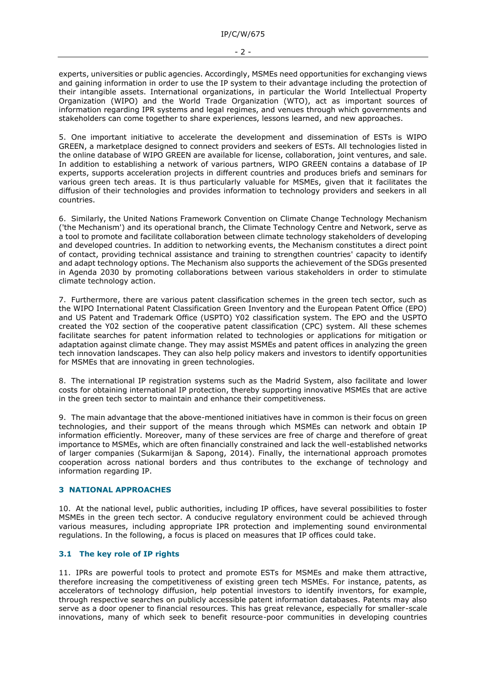- 2 -

experts, universities or public agencies. Accordingly, MSMEs need opportunities for exchanging views and gaining information in order to use the IP system to their advantage including the protection of their intangible assets. International organizations, in particular the World Intellectual Property Organization (WIPO) and the World Trade Organization (WTO), act as important sources of information regarding IPR systems and legal regimes, and venues through which governments and stakeholders can come together to share experiences, lessons learned, and new approaches.

5. One important initiative to accelerate the development and dissemination of ESTs is WIPO GREEN, a marketplace designed to connect providers and seekers of ESTs. All technologies listed in the online database of WIPO GREEN are available for license, collaboration, joint ventures, and sale. In addition to establishing a network of various partners, WIPO GREEN contains a database of IP experts, supports acceleration projects in different countries and produces briefs and seminars for various green tech areas. It is thus particularly valuable for MSMEs, given that it facilitates the diffusion of their technologies and provides information to technology providers and seekers in all countries.

6. Similarly, the United Nations Framework Convention on Climate Change Technology Mechanism ('the Mechanism') and its operational branch, the Climate Technology Centre and Network, serve as a tool to promote and facilitate collaboration between climate technology stakeholders of developing and developed countries. In addition to networking events, the Mechanism constitutes a direct point of contact, providing technical assistance and training to strengthen countries' capacity to identify and adapt technology options. The Mechanism also supports the achievement of the SDGs presented in Agenda 2030 by promoting collaborations between various stakeholders in order to stimulate climate technology action.

7. Furthermore, there are various patent classification schemes in the green tech sector, such as the WIPO International Patent Classification Green Inventory and the European Patent Office (EPO) and US Patent and Trademark Office (USPTO) Y02 classification system. The EPO and the USPTO created the Y02 section of the cooperative patent classification (CPC) system. All these schemes facilitate searches for patent information related to technologies or applications for mitigation or adaptation against climate change. They may assist MSMEs and patent offices in analyzing the green tech innovation landscapes. They can also help policy makers and investors to identify opportunities for MSMEs that are innovating in green technologies.

8. The international IP registration systems such as the Madrid System, also facilitate and lower costs for obtaining international IP protection, thereby supporting innovative MSMEs that are active in the green tech sector to maintain and enhance their competitiveness.

9. The main advantage that the above-mentioned initiatives have in common is their focus on green technologies, and their support of the means through which MSMEs can network and obtain IP information efficiently. Moreover, many of these services are free of charge and therefore of great importance to MSMEs, which are often financially constrained and lack the well-established networks of larger companies (Sukarmijan & Sapong, 2014). Finally, the international approach promotes cooperation across national borders and thus contributes to the exchange of technology and information regarding IP.

## **3 NATIONAL APPROACHES**

10. At the national level, public authorities, including IP offices, have several possibilities to foster MSMEs in the green tech sector. A conducive regulatory environment could be achieved through various measures, including appropriate IPR protection and implementing sound environmental regulations. In the following, a focus is placed on measures that IP offices could take.

## **3.1 The key role of IP rights**

11. IPRs are powerful tools to protect and promote ESTs for MSMEs and make them attractive, therefore increasing the competitiveness of existing green tech MSMEs. For instance, patents, as accelerators of technology diffusion, help potential investors to identify inventors, for example, through respective searches on publicly accessible patent information databases. Patents may also serve as a door opener to financial resources. This has great relevance, especially for smaller-scale innovations, many of which seek to benefit resource-poor communities in developing countries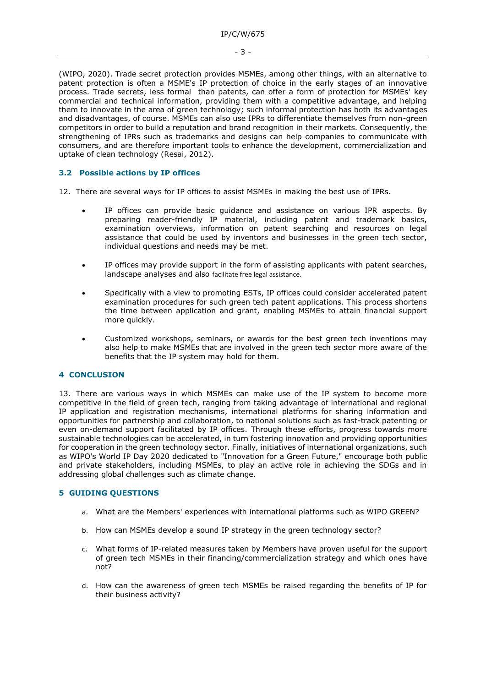(WIPO, 2020). Trade secret protection provides MSMEs, among other things, with an alternative to patent protection is often a MSME's IP protection of choice in the early stages of an innovative process. Trade secrets, less formal than patents, can offer a form of protection for MSMEs' key commercial and technical information, providing them with a competitive advantage, and helping them to innovate in the area of green technology; such informal protection has both its advantages and disadvantages, of course. MSMEs can also use IPRs to differentiate themselves from non-green competitors in order to build a reputation and brand recognition in their markets. Consequently, the strengthening of IPRs such as trademarks and designs can help companies to communicate with consumers, and are therefore important tools to enhance the development, commercialization and uptake of clean technology (Resai, 2012).

# **3.2 Possible actions by IP offices**

12. There are several ways for IP offices to assist MSMEs in making the best use of IPRs.

- IP offices can provide basic guidance and assistance on various IPR aspects. By preparing reader-friendly IP material, including patent and trademark basics, examination overviews, information on patent searching and resources on legal assistance that could be used by inventors and businesses in the green tech sector, individual questions and needs may be met.
- IP offices may provide support in the form of assisting applicants with patent searches, landscape analyses and also facilitate free legal assistance.
- Specifically with a view to promoting ESTs, IP offices could consider accelerated patent examination procedures for such green tech patent applications. This process shortens the time between application and grant, enabling MSMEs to attain financial support more quickly.
- Customized workshops, seminars, or awards for the best green tech inventions may also help to make MSMEs that are involved in the green tech sector more aware of the benefits that the IP system may hold for them.

#### **4 CONCLUSION**

13. There are various ways in which MSMEs can make use of the IP system to become more competitive in the field of green tech, ranging from taking advantage of international and regional IP application and registration mechanisms, international platforms for sharing information and opportunities for partnership and collaboration, to national solutions such as fast-track patenting or even on-demand support facilitated by IP offices. Through these efforts, progress towards more sustainable technologies can be accelerated, in turn fostering innovation and providing opportunities for cooperation in the green technology sector. Finally, initiatives of international organizations, such as WIPO's World IP Day 2020 dedicated to "Innovation for a Green Future," encourage both public and private stakeholders, including MSMEs, to play an active role in achieving the SDGs and in addressing global challenges such as climate change.

# **5 GUIDING QUESTIONS**

- a. What are the Members' experiences with international platforms such as WIPO GREEN?
- b. How can MSMEs develop a sound IP strategy in the green technology sector?
- c. What forms of IP-related measures taken by Members have proven useful for the support of green tech MSMEs in their financing/commercialization strategy and which ones have not?
- d. How can the awareness of green tech MSMEs be raised regarding the benefits of IP for their business activity?